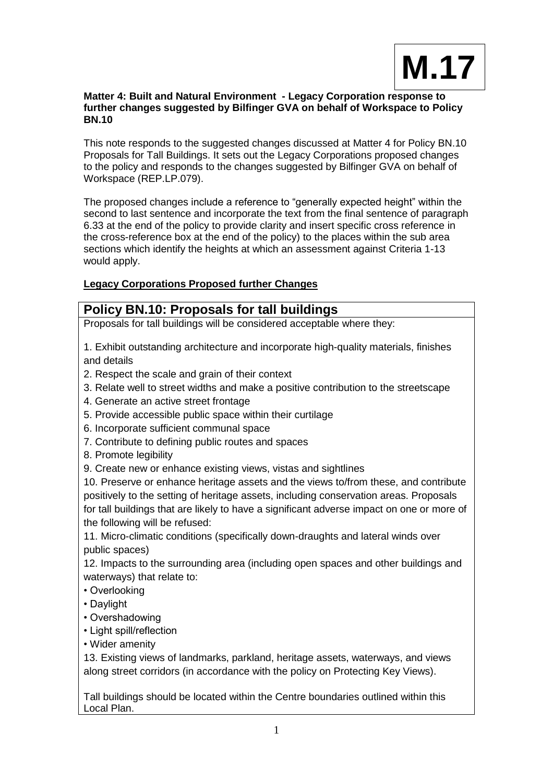

## **Matter 4: Built and Natural Environment - Legacy Corporation response to further changes suggested by Bilfinger GVA on behalf of Workspace to Policy BN.10**

This note responds to the suggested changes discussed at Matter 4 for Policy BN.10 Proposals for Tall Buildings. It sets out the Legacy Corporations proposed changes to the policy and responds to the changes suggested by Bilfinger GVA on behalf of Workspace (REP.LP.079).

The proposed changes include a reference to "generally expected height" within the second to last sentence and incorporate the text from the final sentence of paragraph 6.33 at the end of the policy to provide clarity and insert specific cross reference in the cross-reference box at the end of the policy) to the places within the sub area sections which identify the heights at which an assessment against Criteria 1-13 would apply.

# **Legacy Corporations Proposed further Changes**

# **Policy BN.10: Proposals for tall buildings**

Proposals for tall buildings will be considered acceptable where they:

1. Exhibit outstanding architecture and incorporate high-quality materials, finishes and details

- 2. Respect the scale and grain of their context
- 3. Relate well to street widths and make a positive contribution to the streetscape
- 4. Generate an active street frontage
- 5. Provide accessible public space within their curtilage
- 6. Incorporate sufficient communal space
- 7. Contribute to defining public routes and spaces
- 8. Promote legibility
- 9. Create new or enhance existing views, vistas and sightlines

10. Preserve or enhance heritage assets and the views to/from these, and contribute positively to the setting of heritage assets, including conservation areas. Proposals for tall buildings that are likely to have a significant adverse impact on one or more of the following will be refused:

11. Micro-climatic conditions (specifically down-draughts and lateral winds over public spaces)

12. Impacts to the surrounding area (including open spaces and other buildings and waterways) that relate to:

- Overlooking
- Daylight
- Overshadowing
- Light spill/reflection
- Wider amenity

13. Existing views of landmarks, parkland, heritage assets, waterways, and views along street corridors (in accordance with the policy on Protecting Key Views).

Tall buildings should be located within the Centre boundaries outlined within this Local Plan.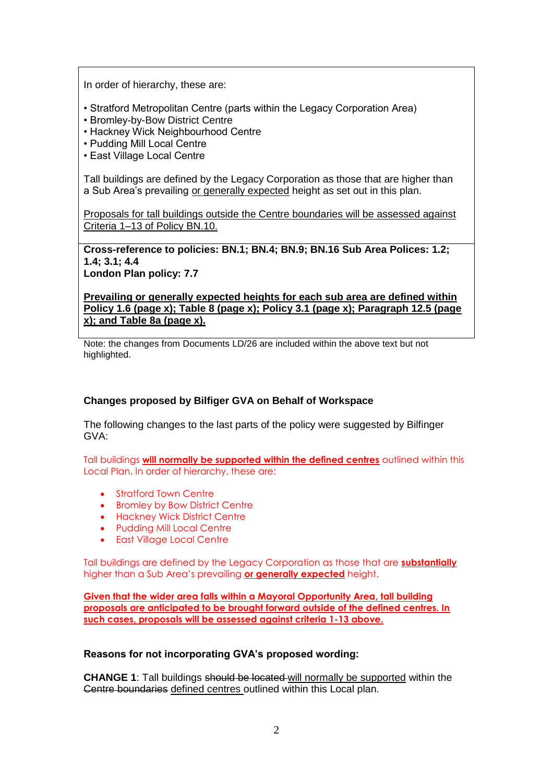In order of hierarchy, these are:

- Stratford Metropolitan Centre (parts within the Legacy Corporation Area)
- Bromley-by-Bow District Centre
- Hackney Wick Neighbourhood Centre
- Pudding Mill Local Centre
- East Village Local Centre

Tall buildings are defined by the Legacy Corporation as those that are higher than a Sub Area's prevailing or generally expected height as set out in this plan.

Proposals for tall buildings outside the Centre boundaries will be assessed against Criteria 1–13 of Policy BN.10.

**Cross-reference to policies: BN.1; BN.4; BN.9; BN.16 Sub Area Polices: 1.2; 1.4; 3.1; 4.4 London Plan policy: 7.7**

**Prevailing or generally expected heights for each sub area are defined within Policy 1.6 (page x); Table 8 (page x); Policy 3.1 (page x); Paragraph 12.5 (page x); and Table 8a (page x).**

Note: the changes from Documents LD/26 are included within the above text but not highlighted.

#### **Changes proposed by Bilfiger GVA on Behalf of Workspace**

The following changes to the last parts of the policy were suggested by Bilfinger GVA:

Tall buildings **will normally be supported within the defined centres** outlined within this Local Plan. In order of hierarchy, these are:

- Stratford Town Centre
- Bromley by Bow District Centre
- **•** Hackney Wick District Centre
- Pudding Mill Local Centre
- East Village Local Centre

Tall buildings are defined by the Legacy Corporation as those that are **substantially** higher than a Sub Area's prevailing **or generally expected** height.

**Given that the wider area falls within a Mayoral Opportunity Area, tall building proposals are anticipated to be brought forward outside of the defined centres. In such cases, proposals will be assessed against criteria 1-13 above.**

## **Reasons for not incorporating GVA's proposed wording:**

**CHANGE 1**: Tall buildings should be located will normally be supported within the Centre boundaries defined centres outlined within this Local plan.